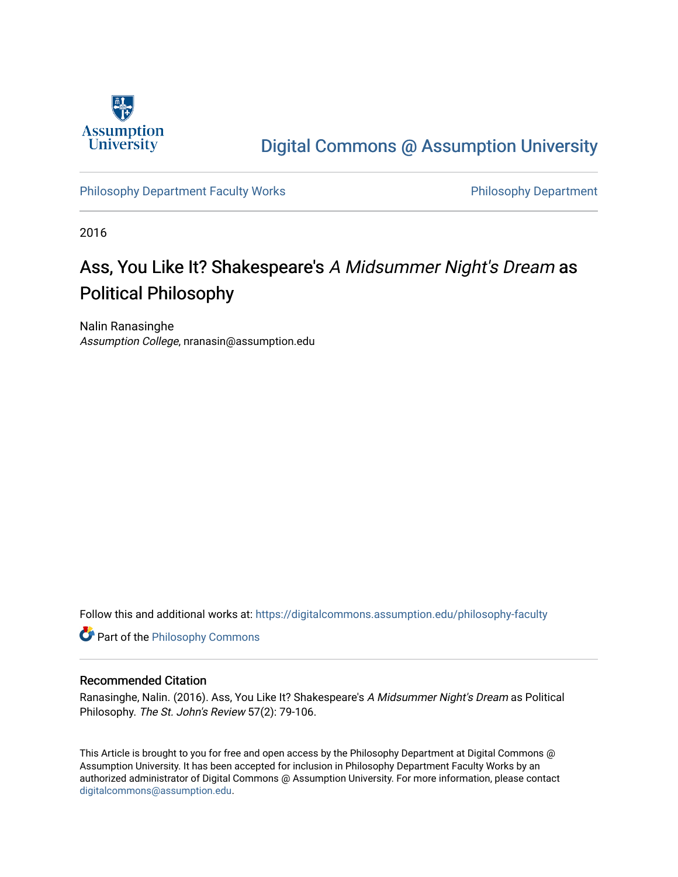

## [Digital Commons @ Assumption University](https://digitalcommons.assumption.edu/)

[Philosophy Department Faculty Works](https://digitalcommons.assumption.edu/philosophy-faculty) **Philosophy Department** 

2016

## Ass, You Like It? Shakespeare's A Midsummer Night's Dream as Political Philosophy

Nalin Ranasinghe Assumption College, nranasin@assumption.edu

Follow this and additional works at: [https://digitalcommons.assumption.edu/philosophy-faculty](https://digitalcommons.assumption.edu/philosophy-faculty?utm_source=digitalcommons.assumption.edu%2Fphilosophy-faculty%2F4&utm_medium=PDF&utm_campaign=PDFCoverPages) 

**Part of the Philosophy Commons** 

#### Recommended Citation

Ranasinghe, Nalin. (2016). Ass, You Like It? Shakespeare's A Midsummer Night's Dream as Political Philosophy. The St. John's Review 57(2): 79-106.

This Article is brought to you for free and open access by the Philosophy Department at Digital Commons @ Assumption University. It has been accepted for inclusion in Philosophy Department Faculty Works by an authorized administrator of Digital Commons @ Assumption University. For more information, please contact [digitalcommons@assumption.edu](mailto:digitalcommons@assumption.edu).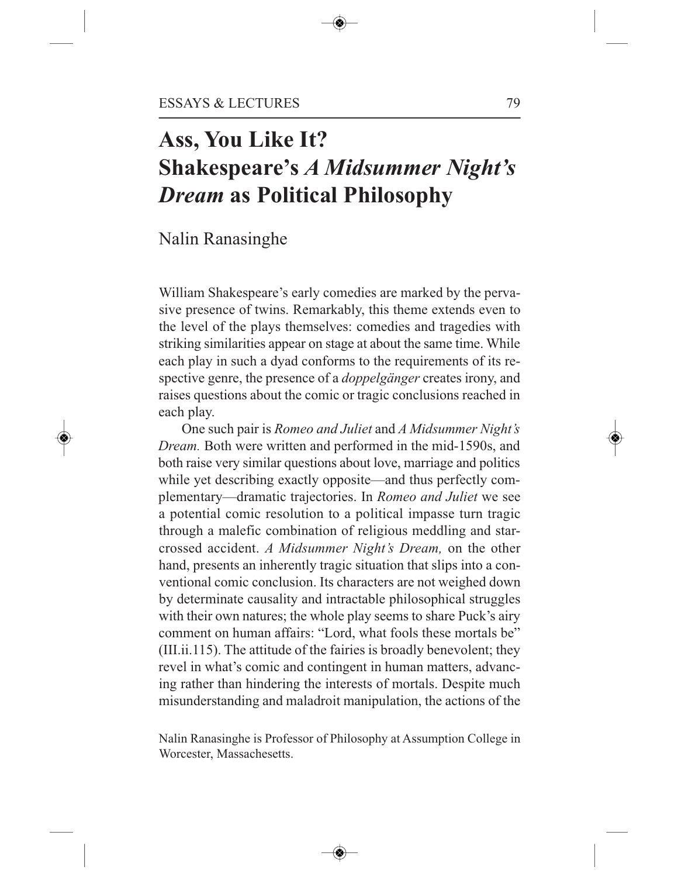# **Ass, You Like It? Shakespeare's** *A Midsummer Night's Dream* **as Political Philosophy**

### Nalin Ranasinghe

William Shakespeare's early comedies are marked by the pervasive presence of twins. Remarkably, this theme extends even to the level of the plays themselves: comedies and tragedies with striking similarities appear on stage at about the same time. While each play in such a dyad conforms to the requirements of its respective genre, the presence of a *doppelgänger* creates irony, and raises questions about the comic or tragic conclusions reached in each play.

One such pair is *Romeo and Juliet* and *A Midsummer Night's Dream.* Both were written and performed in the mid-1590s, and both raise very similar questions about love, marriage and politics while yet describing exactly opposite—and thus perfectly complementary—dramatic trajectories. In *Romeo and Juliet* we see a potential comic resolution to a political impasse turn tragic through a malefic combination of religious meddling and starcrossed accident. *A Midsummer Night's Dream,* on the other hand, presents an inherently tragic situation that slips into a conventional comic conclusion. Its characters are not weighed down by determinate causality and intractable philosophical struggles with their own natures; the whole play seems to share Puck's airy comment on human affairs: "Lord, what fools these mortals be" (III.ii.115). The attitude of the fairies is broadly benevolent; they revel in what's comic and contingent in human matters, advancing rather than hindering the interests of mortals. Despite much misunderstanding and maladroit manipulation, the actions of the

Nalin Ranasinghe is Professor of Philosophy at Assumption College in Worcester, Massachesetts.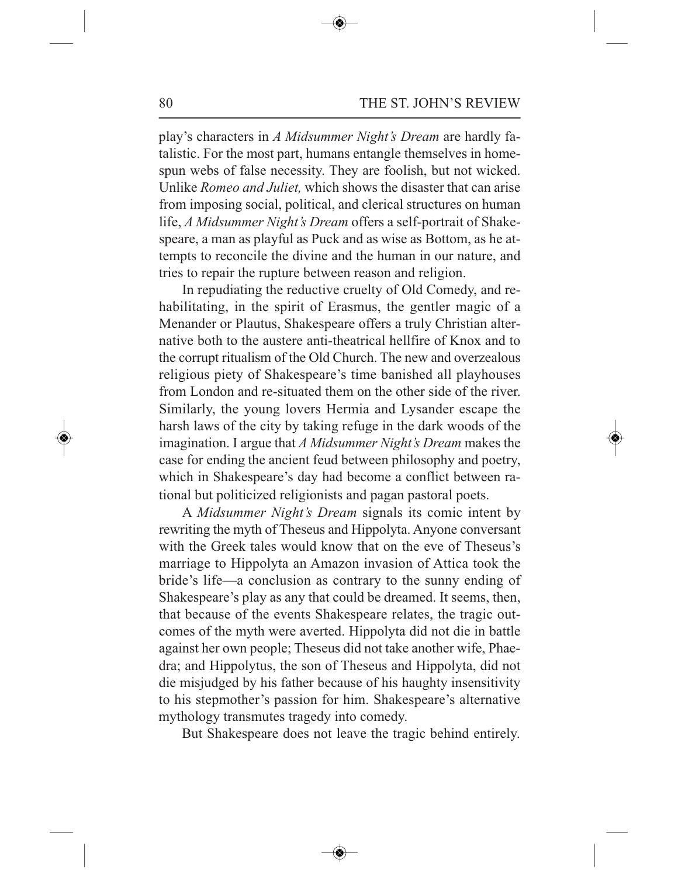play's characters in *A Midsummer Night's Dream* are hardly fatalistic. For the most part, humans entangle themselves in homespun webs of false necessity. They are foolish, but not wicked. Unlike *Romeo and Juliet,* which shows the disaster that can arise from imposing social, political, and clerical structures on human life, *A Midsummer Night's Dream* offers a self-portrait of Shakespeare, a man as playful as Puck and as wise as Bottom, as he attempts to reconcile the divine and the human in our nature, and tries to repair the rupture between reason and religion.

In repudiating the reductive cruelty of Old Comedy, and rehabilitating, in the spirit of Erasmus, the gentler magic of a Menander or Plautus, Shakespeare offers a truly Christian alternative both to the austere anti-theatrical hellfire of Knox and to the corrupt ritualism of the Old Church. The new and overzealous religious piety of Shakespeare's time banished all playhouses from London and re-situated them on the other side of the river. Similarly, the young lovers Hermia and Lysander escape the harsh laws of the city by taking refuge in the dark woods of the imagination. I argue that *A Midsummer Night's Dream* makes the case for ending the ancient feud between philosophy and poetry, which in Shakespeare's day had become a conflict between rational but politicized religionists and pagan pastoral poets.

A *Midsummer Night's Dream* signals its comic intent by rewriting the myth of Theseus and Hippolyta. Anyone conversant with the Greek tales would know that on the eve of Theseus's marriage to Hippolyta an Amazon invasion of Attica took the bride's life—a conclusion as contrary to the sunny ending of Shakespeare's play as any that could be dreamed. It seems, then, that because of the events Shakespeare relates, the tragic outcomes of the myth were averted. Hippolyta did not die in battle against her own people; Theseus did not take another wife, Phaedra; and Hippolytus, the son of Theseus and Hippolyta, did not die misjudged by his father because of his haughty insensitivity to his stepmother's passion for him. Shakespeare's alternative mythology transmutes tragedy into comedy.

But Shakespeare does not leave the tragic behind entirely.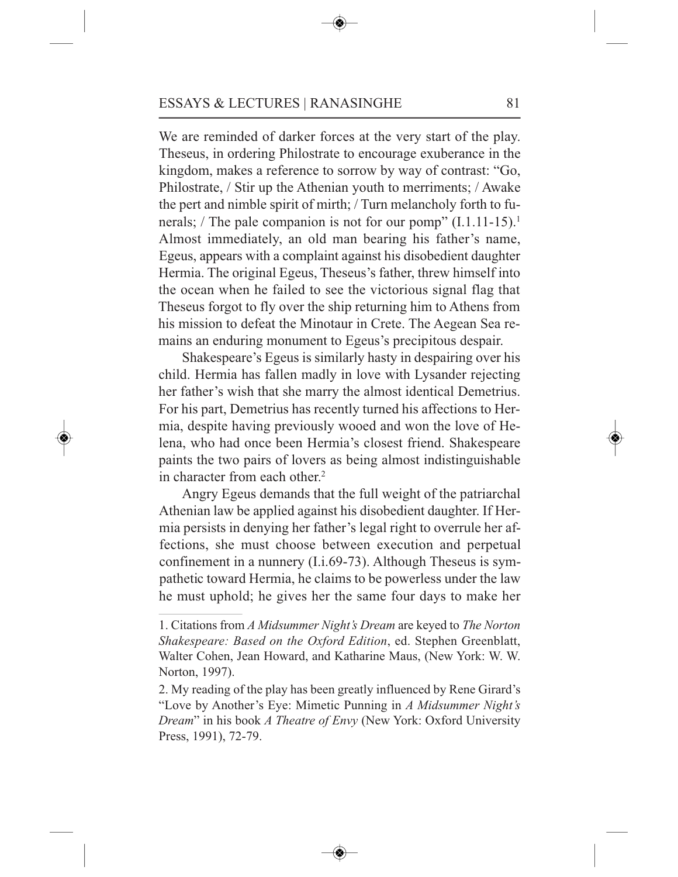We are reminded of darker forces at the very start of the play. Theseus, in ordering Philostrate to encourage exuberance in the kingdom, makes a reference to sorrow by way of contrast: "Go, Philostrate, / Stir up the Athenian youth to merriments; / Awake the pert and nimble spirit of mirth; / Turn melancholy forth to funerals; / The pale companion is not for our pomp" (I.1.11-15).<sup>1</sup> Almost immediately, an old man bearing his father's name, Egeus, appears with a complaint against his disobedient daughter Hermia. The original Egeus, Theseus's father, threw himself into the ocean when he failed to see the victorious signal flag that Theseus forgot to fly over the ship returning him to Athens from his mission to defeat the Minotaur in Crete. The Aegean Sea remains an enduring monument to Egeus's precipitous despair.

Shakespeare's Egeus is similarly hasty in despairing over his child. Hermia has fallen madly in love with Lysander rejecting her father's wish that she marry the almost identical Demetrius. For his part, Demetrius has recently turned his affections to Hermia, despite having previously wooed and won the love of Helena, who had once been Hermia's closest friend. Shakespeare paints the two pairs of lovers as being almost indistinguishable in character from each other. 2

Angry Egeus demands that the full weight of the patriarchal Athenian law be applied against his disobedient daughter. If Hermia persists in denying her father's legal right to overrule her affections, she must choose between execution and perpetual confinement in a nunnery (I.i.69-73). Although Theseus is sympathetic toward Hermia, he claims to be powerless under the law he must uphold; he gives her the same four days to make her

<sup>1.</sup> Citations from *A Midsummer Night's Dream* are keyed to *The Norton Shakespeare: Based on the Oxford Edition*, ed. Stephen Greenblatt, Walter Cohen, Jean Howard, and Katharine Maus, (New York: W. W. Norton, 1997).

<sup>2.</sup> My reading of the play has been greatly influenced by Rene Girard's "Love by Another's Eye: Mimetic Punning in *A Midsummer Night's Dream*" in his book *A Theatre of Envy* (New York: Oxford University Press, 1991), 72-79.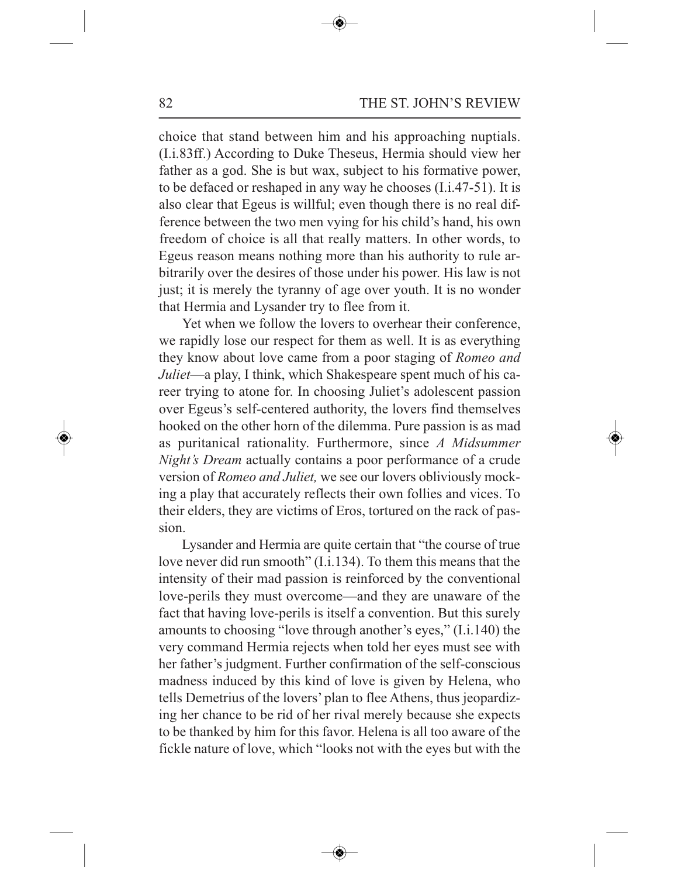choice that stand between him and his approaching nuptials. (I.i.83ff.) According to Duke Theseus, Hermia should view her father as a god. She is but wax, subject to his formative power, to be defaced or reshaped in any way he chooses (I.i.47-51). It is also clear that Egeus is willful; even though there is no real difference between the two men vying for his child's hand, his own freedom of choice is all that really matters. In other words, to Egeus reason means nothing more than his authority to rule arbitrarily over the desires of those under his power. His law is not just; it is merely the tyranny of age over youth. It is no wonder that Hermia and Lysander try to flee from it.

Yet when we follow the lovers to overhear their conference, we rapidly lose our respect for them as well. It is as everything they know about love came from a poor staging of *Romeo and Juliet*—a play, I think, which Shakespeare spent much of his career trying to atone for. In choosing Juliet's adolescent passion over Egeus's self-centered authority, the lovers find themselves hooked on the other horn of the dilemma. Pure passion is as mad as puritanical rationality. Furthermore, since *A Midsummer Night's Dream* actually contains a poor performance of a crude version of *Romeo and Juliet,* we see our lovers obliviously mocking a play that accurately reflects their own follies and vices. To their elders, they are victims of Eros, tortured on the rack of passion.

Lysander and Hermia are quite certain that "the course of true love never did run smooth" (I.i.134). To them this means that the intensity of their mad passion is reinforced by the conventional love-perils they must overcome—and they are unaware of the fact that having love-perils is itself a convention. But this surely amounts to choosing "love through another's eyes," (I.i.140) the very command Hermia rejects when told her eyes must see with her father's judgment. Further confirmation of the self-conscious madness induced by this kind of love is given by Helena, who tells Demetrius of the lovers' plan to flee Athens, thus jeopardizing her chance to be rid of her rival merely because she expects to be thanked by him for this favor. Helena is all too aware of the fickle nature of love, which "looks not with the eyes but with the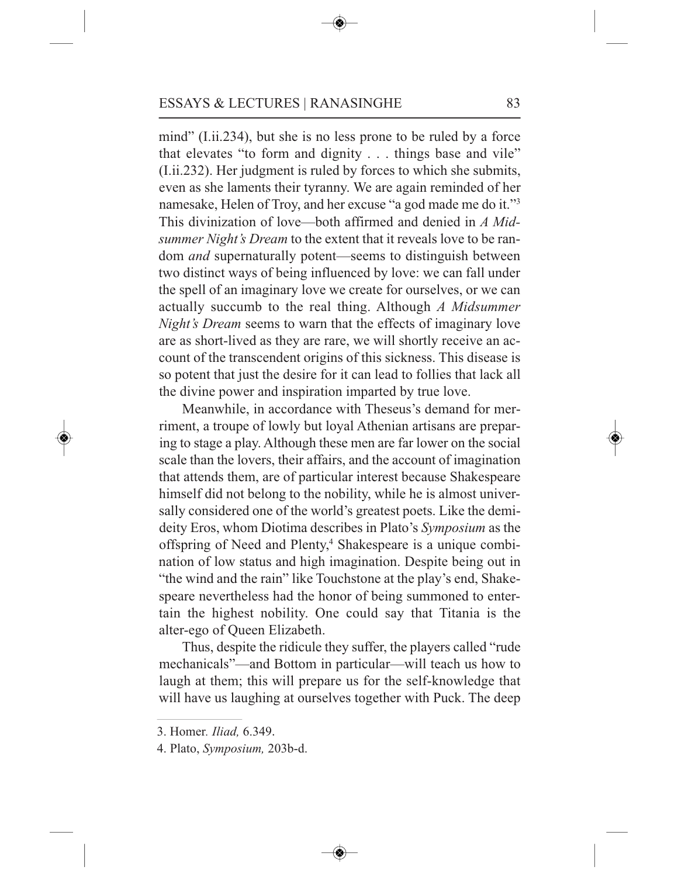mind" (I.ii.234), but she is no less prone to be ruled by a force that elevates "to form and dignity . . . things base and vile" (I.ii.232). Her judgment is ruled by forces to which she submits, even as she laments their tyranny. We are again reminded of her namesake, Helen of Troy, and her excuse "a god made me do it."3 This divinization of love—both affirmed and denied in *A Midsummer Night's Dream* to the extent that it reveals love to be random *and* supernaturally potent—seems to distinguish between two distinct ways of being influenced by love: we can fall under the spell of an imaginary love we create for ourselves, or we can actually succumb to the real thing. Although *A Midsummer Night's Dream* seems to warn that the effects of imaginary love are as short-lived as they are rare, we will shortly receive an account of the transcendent origins of this sickness. This disease is so potent that just the desire for it can lead to follies that lack all the divine power and inspiration imparted by true love.

Meanwhile, in accordance with Theseus's demand for merriment, a troupe of lowly but loyal Athenian artisans are preparing to stage a play. Although these men are far lower on the social scale than the lovers, their affairs, and the account of imagination that attends them, are of particular interest because Shakespeare himself did not belong to the nobility, while he is almost universally considered one of the world's greatest poets. Like the demideity Eros, whom Diotima describes in Plato's *Symposium* as the offspring of Need and Plenty, <sup>4</sup> Shakespeare is a unique combination of low status and high imagination. Despite being out in "the wind and the rain" like Touchstone at the play's end, Shakespeare nevertheless had the honor of being summoned to entertain the highest nobility. One could say that Titania is the alter-ego of Queen Elizabeth.

Thus, despite the ridicule they suffer, the players called "rude mechanicals"—and Bottom in particular—will teach us how to laugh at them; this will prepare us for the self-knowledge that will have us laughing at ourselves together with Puck. The deep

<sup>3.</sup> Homer*. Iliad,* 6.349.

<sup>4.</sup> Plato, *Symposium,* 203b-d.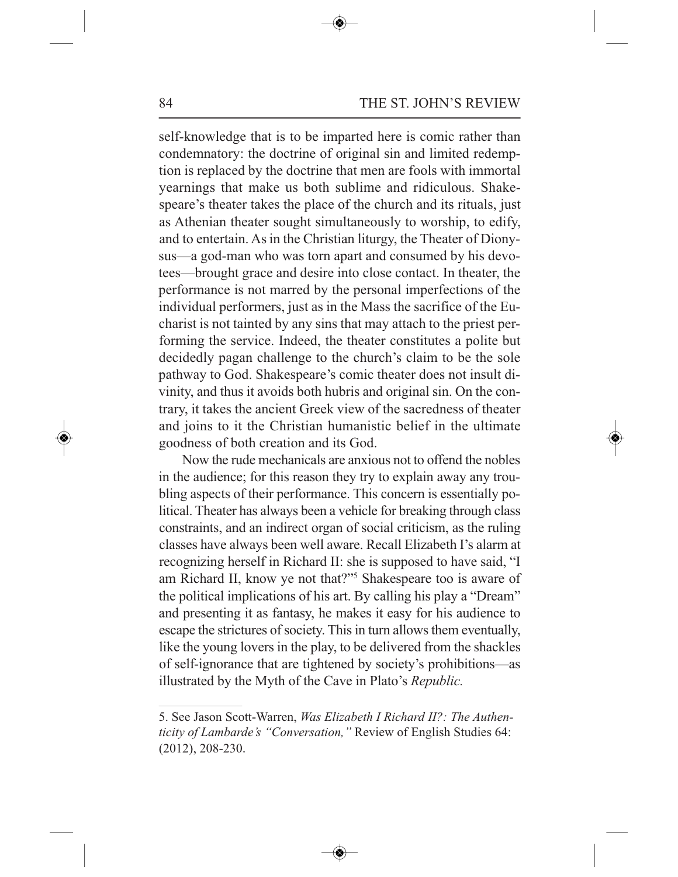84 THE ST. JOHN'S REVIEW

self-knowledge that is to be imparted here is comic rather than condemnatory: the doctrine of original sin and limited redemption is replaced by the doctrine that men are fools with immortal yearnings that make us both sublime and ridiculous. Shakespeare's theater takes the place of the church and its rituals, just as Athenian theater sought simultaneously to worship, to edify, and to entertain. As in the Christian liturgy, the Theater of Dionysus—a god-man who was torn apart and consumed by his devotees—brought grace and desire into close contact. In theater, the performance is not marred by the personal imperfections of the individual performers, just as in the Mass the sacrifice of the Eucharist is not tainted by any sins that may attach to the priest performing the service. Indeed, the theater constitutes a polite but decidedly pagan challenge to the church's claim to be the sole pathway to God. Shakespeare's comic theater does not insult divinity, and thus it avoids both hubris and original sin. On the contrary, it takes the ancient Greek view of the sacredness of theater and joins to it the Christian humanistic belief in the ultimate goodness of both creation and its God.

Now the rude mechanicals are anxious not to offend the nobles in the audience; for this reason they try to explain away any troubling aspects of their performance. This concern is essentially political. Theater has always been a vehicle for breaking through class constraints, and an indirect organ of social criticism, as the ruling classes have always been well aware. Recall Elizabeth I's alarm at recognizing herself in Richard II: she is supposed to have said, "I am Richard II, know ye not that?"5 Shakespeare too is aware of the political implications of his art. By calling his play a "Dream" and presenting it as fantasy, he makes it easy for his audience to escape the strictures of society. This in turn allows them eventually, like the young lovers in the play, to be delivered from the shackles of self-ignorance that are tightened by society's prohibitions—as illustrated by the Myth of the Cave in Plato's *Republic.*

<sup>5.</sup> See Jason Scott-Warren, *Was Elizabeth I Richard II?: The Authenticity of Lambarde's "Conversation,"* Review of English Studies 64: (2012), 208-230.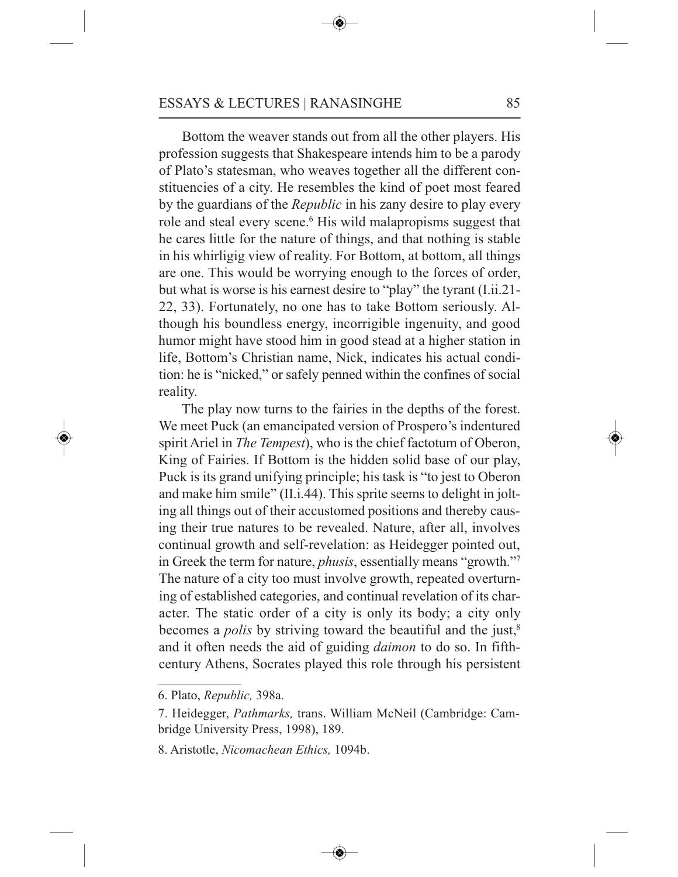Bottom the weaver stands out from all the other players. His profession suggests that Shakespeare intends him to be a parody of Plato's statesman, who weaves together all the different constituencies of a city. He resembles the kind of poet most feared by the guardians of the *Republic* in his zany desire to play every role and steal every scene. <sup>6</sup> His wild malapropisms suggest that he cares little for the nature of things, and that nothing is stable in his whirligig view of reality. For Bottom, at bottom, all things are one. This would be worrying enough to the forces of order, but what is worse is his earnest desire to "play" the tyrant (I.ii.21- 22, 33). Fortunately, no one has to take Bottom seriously. Although his boundless energy, incorrigible ingenuity, and good humor might have stood him in good stead at a higher station in life, Bottom's Christian name, Nick, indicates his actual condition: he is "nicked," or safely penned within the confines of social reality.

The play now turns to the fairies in the depths of the forest. We meet Puck (an emancipated version of Prospero's indentured spirit Ariel in *The Tempest*), who is the chief factotum of Oberon, King of Fairies. If Bottom is the hidden solid base of our play, Puck is its grand unifying principle; his task is "to jest to Oberon and make him smile" (II.i.44). This sprite seems to delight in jolting all things out of their accustomed positions and thereby causing their true natures to be revealed. Nature, after all, involves continual growth and self-revelation: as Heidegger pointed out, in Greek the term for nature, *phusis*, essentially means "growth."7 The nature of a city too must involve growth, repeated overturning of established categories, and continual revelation of its character. The static order of a city is only its body; a city only becomes a *polis* by striving toward the beautiful and the just, 8 and it often needs the aid of guiding *daimon* to do so. In fifthcentury Athens, Socrates played this role through his persistent

<sup>6.</sup> Plato, *Republic,* 398a.

<sup>7.</sup> Heidegger, *Pathmarks,* trans. William McNeil (Cambridge: Cambridge University Press, 1998), 189.

<sup>8.</sup> Aristotle, *Nicomachean Ethics,* 1094b.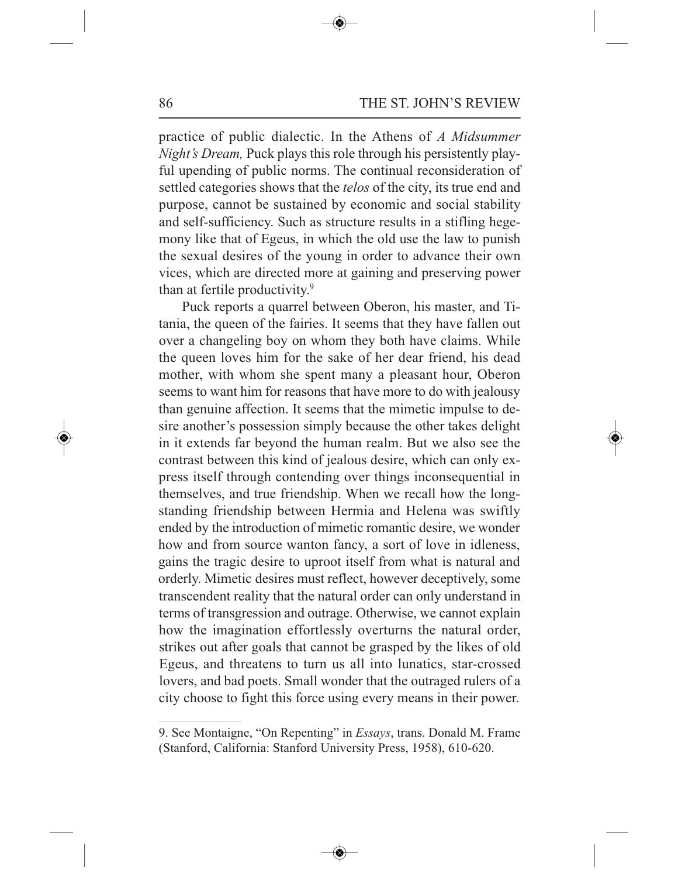practice of public dialectic. In the Athens of *A Midsummer Night's Dream,* Puck plays this role through his persistently playful upending of public norms. The continual reconsideration of settled categories shows that the *telos* of the city, its true end and purpose, cannot be sustained by economic and social stability and self-sufficiency. Such as structure results in a stifling hegemony like that of Egeus, in which the old use the law to punish the sexual desires of the young in order to advance their own vices, which are directed more at gaining and preserving power than at fertile productivity. 9

Puck reports a quarrel between Oberon, his master, and Titania, the queen of the fairies. It seems that they have fallen out over a changeling boy on whom they both have claims. While the queen loves him for the sake of her dear friend, his dead mother, with whom she spent many a pleasant hour, Oberon seems to want him for reasons that have more to do with jealousy than genuine affection. It seems that the mimetic impulse to desire another's possession simply because the other takes delight in it extends far beyond the human realm. But we also see the contrast between this kind of jealous desire, which can only express itself through contending over things inconsequential in themselves, and true friendship. When we recall how the longstanding friendship between Hermia and Helena was swiftly ended by the introduction of mimetic romantic desire, we wonder how and from source wanton fancy, a sort of love in idleness, gains the tragic desire to uproot itself from what is natural and orderly. Mimetic desires must reflect, however deceptively, some transcendent reality that the natural order can only understand in terms of transgression and outrage. Otherwise, we cannot explain how the imagination effortlessly overturns the natural order, strikes out after goals that cannot be grasped by the likes of old Egeus, and threatens to turn us all into lunatics, star-crossed lovers, and bad poets. Small wonder that the outraged rulers of a city choose to fight this force using every means in their power.

<sup>9.</sup> See Montaigne, "On Repenting" in *Essays*, trans. Donald M. Frame (Stanford, California: Stanford University Press, 1958), 610-620.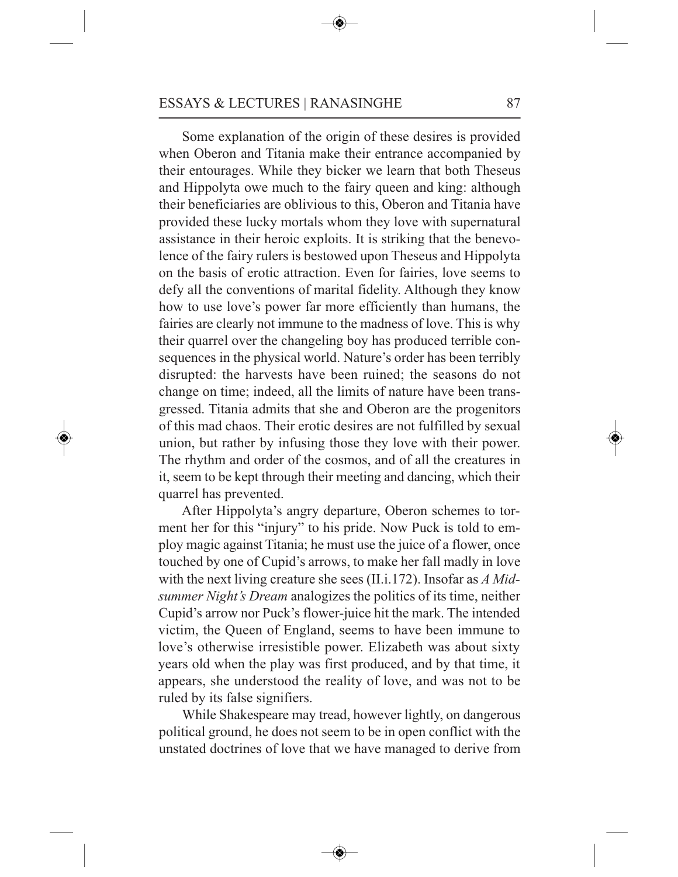Some explanation of the origin of these desires is provided when Oberon and Titania make their entrance accompanied by their entourages. While they bicker we learn that both Theseus and Hippolyta owe much to the fairy queen and king: although their beneficiaries are oblivious to this, Oberon and Titania have provided these lucky mortals whom they love with supernatural assistance in their heroic exploits. It is striking that the benevolence of the fairy rulers is bestowed upon Theseus and Hippolyta on the basis of erotic attraction. Even for fairies, love seems to defy all the conventions of marital fidelity. Although they know how to use love's power far more efficiently than humans, the fairies are clearly not immune to the madness of love. This is why their quarrel over the changeling boy has produced terrible consequences in the physical world. Nature's order has been terribly disrupted: the harvests have been ruined; the seasons do not change on time; indeed, all the limits of nature have been transgressed. Titania admits that she and Oberon are the progenitors of this mad chaos. Their erotic desires are not fulfilled by sexual union, but rather by infusing those they love with their power. The rhythm and order of the cosmos, and of all the creatures in it, seem to be kept through their meeting and dancing, which their quarrel has prevented.

After Hippolyta's angry departure, Oberon schemes to torment her for this "injury" to his pride. Now Puck is told to employ magic against Titania; he must use the juice of a flower, once touched by one of Cupid's arrows, to make her fall madly in love with the next living creature she sees (II.i.172). Insofar as *A Midsummer Night's Dream* analogizes the politics of its time, neither Cupid's arrow nor Puck's flower-juice hit the mark. The intended victim, the Queen of England, seems to have been immune to love's otherwise irresistible power. Elizabeth was about sixty years old when the play was first produced, and by that time, it appears, she understood the reality of love, and was not to be ruled by its false signifiers.

While Shakespeare may tread, however lightly, on dangerous political ground, he does not seem to be in open conflict with the unstated doctrines of love that we have managed to derive from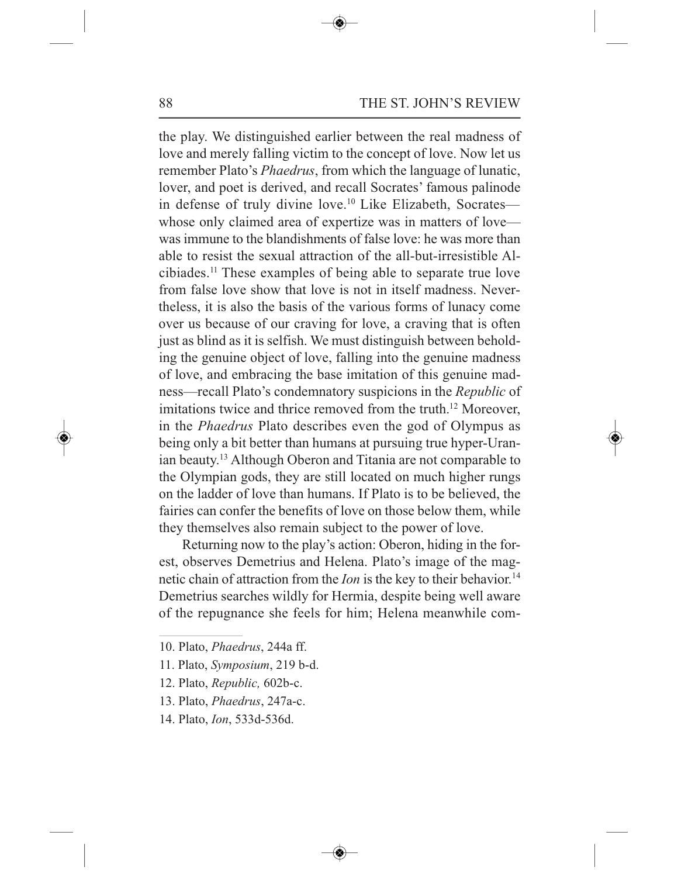88 THE ST. JOHN'S REVIEW

the play. We distinguished earlier between the real madness of love and merely falling victim to the concept of love. Now let us remember Plato's *Phaedrus*, from which the language of lunatic, lover, and poet is derived, and recall Socrates' famous palinode in defense of truly divine love. <sup>10</sup> Like Elizabeth, Socrates whose only claimed area of expertize was in matters of love was immune to the blandishments of false love: he was more than able to resist the sexual attraction of the all-but-irresistible Alcibiades. <sup>11</sup> These examples of being able to separate true love from false love show that love is not in itself madness. Nevertheless, it is also the basis of the various forms of lunacy come over us because of our craving for love, a craving that is often just as blind as it is selfish. We must distinguish between beholding the genuine object of love, falling into the genuine madness of love, and embracing the base imitation of this genuine madness—recall Plato's condemnatory suspicions in the *Republic* of imitations twice and thrice removed from the truth. <sup>12</sup> Moreover, in the *Phaedrus* Plato describes even the god of Olympus as being only a bit better than humans at pursuing true hyper-Uranian beauty. <sup>13</sup> Although Oberon and Titania are not comparable to the Olympian gods, they are still located on much higher rungs on the ladder of love than humans. If Plato is to be believed, the fairies can confer the benefits of love on those below them, while they themselves also remain subject to the power of love.

Returning now to the play's action: Oberon, hiding in the forest, observes Demetrius and Helena. Plato's image of the magnetic chain of attraction from the *Ion* is the key to their behavior. 14 Demetrius searches wildly for Hermia, despite being well aware of the repugnance she feels for him; Helena meanwhile com-

- 12. Plato, *Republic,* 602b-c.
- 13. Plato, *Phaedrus*, 247a-c.
- 14. Plato, *Ion*, 533d-536d.

<sup>10.</sup> Plato, *Phaedrus*, 244a ff.

<sup>11.</sup> Plato, *Symposium*, 219 b-d.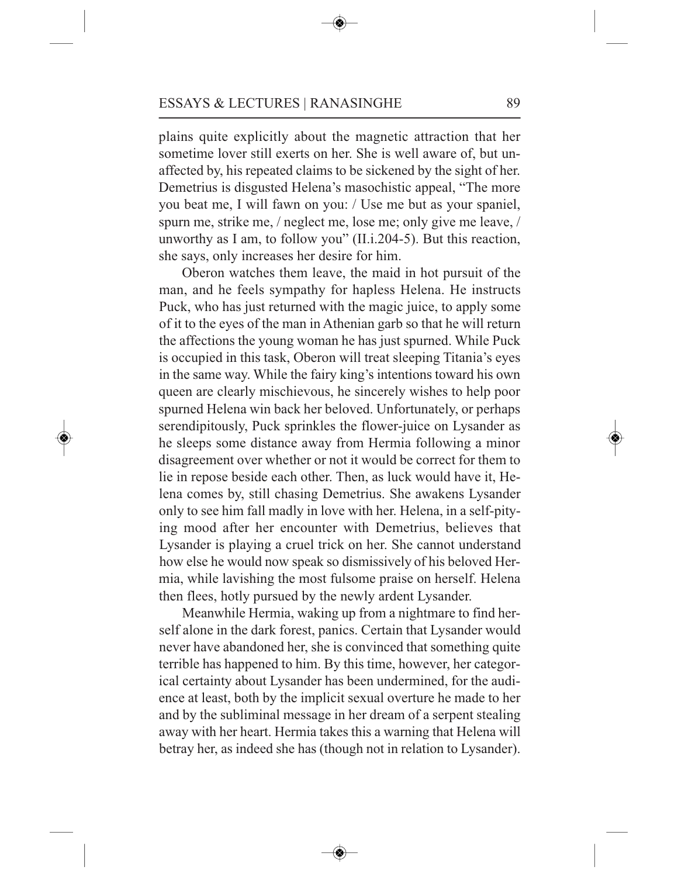plains quite explicitly about the magnetic attraction that her sometime lover still exerts on her. She is well aware of, but unaffected by, his repeated claims to be sickened by the sight of her. Demetrius is disgusted Helena's masochistic appeal, "The more you beat me, I will fawn on you: / Use me but as your spaniel, spurn me, strike me, / neglect me, lose me; only give me leave, / unworthy as I am, to follow you" (II.i.204-5). But this reaction, she says, only increases her desire for him.

Oberon watches them leave, the maid in hot pursuit of the man, and he feels sympathy for hapless Helena. He instructs Puck, who has just returned with the magic juice, to apply some of it to the eyes of the man in Athenian garb so that he will return the affections the young woman he has just spurned. While Puck is occupied in this task, Oberon will treat sleeping Titania's eyes in the same way. While the fairy king's intentions toward his own queen are clearly mischievous, he sincerely wishes to help poor spurned Helena win back her beloved. Unfortunately, or perhaps serendipitously, Puck sprinkles the flower-juice on Lysander as he sleeps some distance away from Hermia following a minor disagreement over whether or not it would be correct for them to lie in repose beside each other. Then, as luck would have it, Helena comes by, still chasing Demetrius. She awakens Lysander only to see him fall madly in love with her. Helena, in a self-pitying mood after her encounter with Demetrius, believes that Lysander is playing a cruel trick on her. She cannot understand how else he would now speak so dismissively of his beloved Hermia, while lavishing the most fulsome praise on herself. Helena then flees, hotly pursued by the newly ardent Lysander.

Meanwhile Hermia, waking up from a nightmare to find herself alone in the dark forest, panics. Certain that Lysander would never have abandoned her, she is convinced that something quite terrible has happened to him. By this time, however, her categorical certainty about Lysander has been undermined, for the audience at least, both by the implicit sexual overture he made to her and by the subliminal message in her dream of a serpent stealing away with her heart. Hermia takes this a warning that Helena will betray her, as indeed she has (though not in relation to Lysander).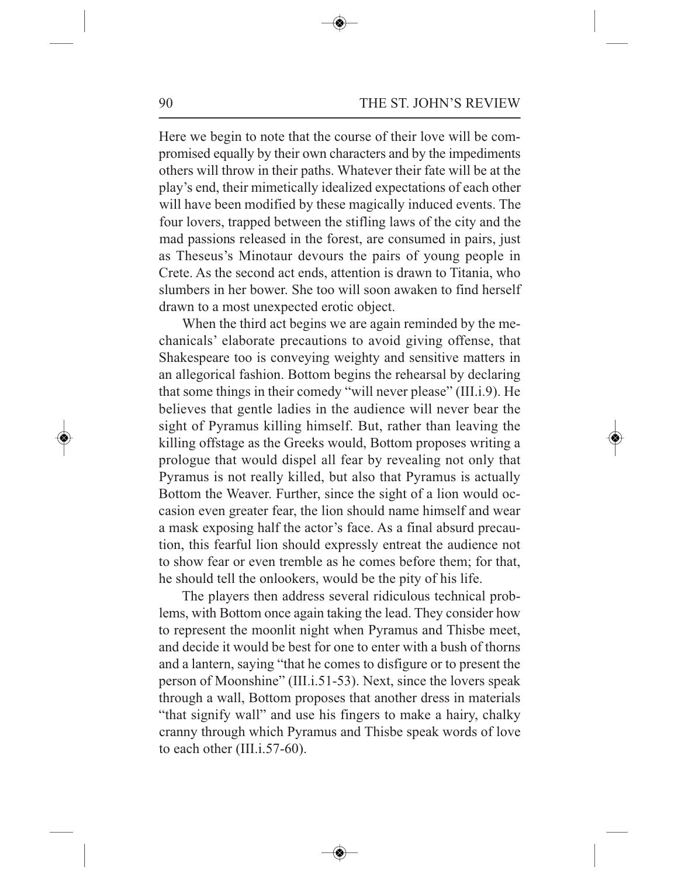90 THE ST. JOHN'S REVIEW

Here we begin to note that the course of their love will be compromised equally by their own characters and by the impediments others will throw in their paths. Whatever their fate will be at the play's end, their mimetically idealized expectations of each other will have been modified by these magically induced events. The four lovers, trapped between the stifling laws of the city and the mad passions released in the forest, are consumed in pairs, just as Theseus's Minotaur devours the pairs of young people in Crete. As the second act ends, attention is drawn to Titania, who slumbers in her bower. She too will soon awaken to find herself drawn to a most unexpected erotic object.

When the third act begins we are again reminded by the mechanicals' elaborate precautions to avoid giving offense, that Shakespeare too is conveying weighty and sensitive matters in an allegorical fashion. Bottom begins the rehearsal by declaring that some things in their comedy "will never please" (III.i.9). He believes that gentle ladies in the audience will never bear the sight of Pyramus killing himself. But, rather than leaving the killing offstage as the Greeks would, Bottom proposes writing a prologue that would dispel all fear by revealing not only that Pyramus is not really killed, but also that Pyramus is actually Bottom the Weaver. Further, since the sight of a lion would occasion even greater fear, the lion should name himself and wear a mask exposing half the actor's face. As a final absurd precaution, this fearful lion should expressly entreat the audience not to show fear or even tremble as he comes before them; for that, he should tell the onlookers, would be the pity of his life.

The players then address several ridiculous technical problems, with Bottom once again taking the lead. They consider how to represent the moonlit night when Pyramus and Thisbe meet, and decide it would be best for one to enter with a bush of thorns and a lantern, saying "that he comes to disfigure or to present the person of Moonshine" (III.i.51-53). Next, since the lovers speak through a wall, Bottom proposes that another dress in materials "that signify wall" and use his fingers to make a hairy, chalky cranny through which Pyramus and Thisbe speak words of love to each other (III.i.57-60).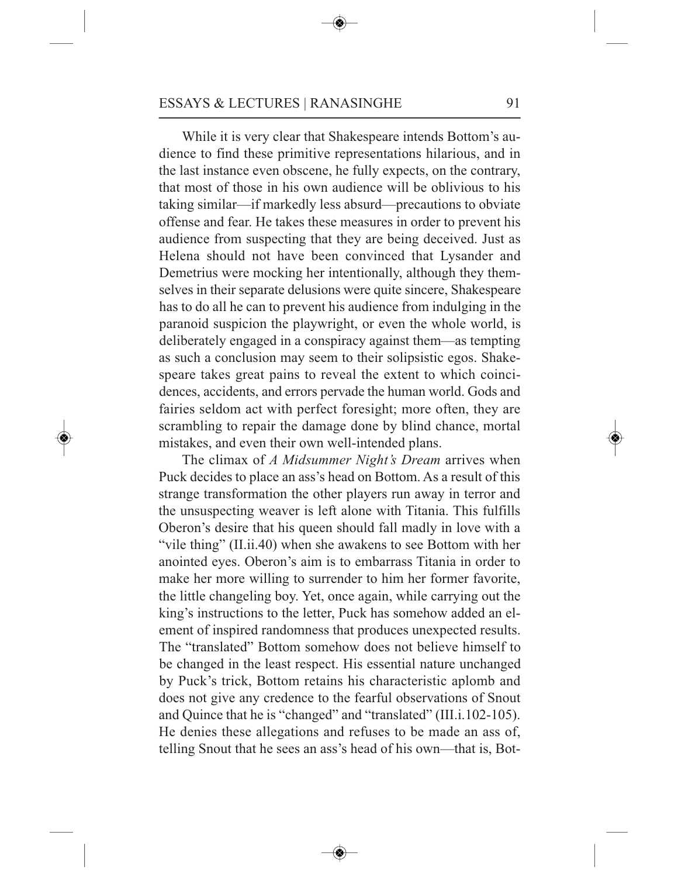While it is very clear that Shakespeare intends Bottom's audience to find these primitive representations hilarious, and in the last instance even obscene, he fully expects, on the contrary, that most of those in his own audience will be oblivious to his taking similar—if markedly less absurd—precautions to obviate offense and fear. He takes these measures in order to prevent his audience from suspecting that they are being deceived. Just as Helena should not have been convinced that Lysander and Demetrius were mocking her intentionally, although they themselves in their separate delusions were quite sincere, Shakespeare has to do all he can to prevent his audience from indulging in the paranoid suspicion the playwright, or even the whole world, is deliberately engaged in a conspiracy against them—as tempting as such a conclusion may seem to their solipsistic egos. Shakespeare takes great pains to reveal the extent to which coincidences, accidents, and errors pervade the human world. Gods and fairies seldom act with perfect foresight; more often, they are scrambling to repair the damage done by blind chance, mortal mistakes, and even their own well-intended plans.

The climax of *A Midsummer Night's Dream* arrives when Puck decides to place an ass's head on Bottom. As a result of this strange transformation the other players run away in terror and the unsuspecting weaver is left alone with Titania. This fulfills Oberon's desire that his queen should fall madly in love with a "vile thing" (II.ii.40) when she awakens to see Bottom with her anointed eyes. Oberon's aim is to embarrass Titania in order to make her more willing to surrender to him her former favorite, the little changeling boy. Yet, once again, while carrying out the king's instructions to the letter, Puck has somehow added an element of inspired randomness that produces unexpected results. The "translated" Bottom somehow does not believe himself to be changed in the least respect. His essential nature unchanged by Puck's trick, Bottom retains his characteristic aplomb and does not give any credence to the fearful observations of Snout and Quince that he is "changed" and "translated" (III.i.102-105). He denies these allegations and refuses to be made an ass of, telling Snout that he sees an ass's head of his own—that is, Bot-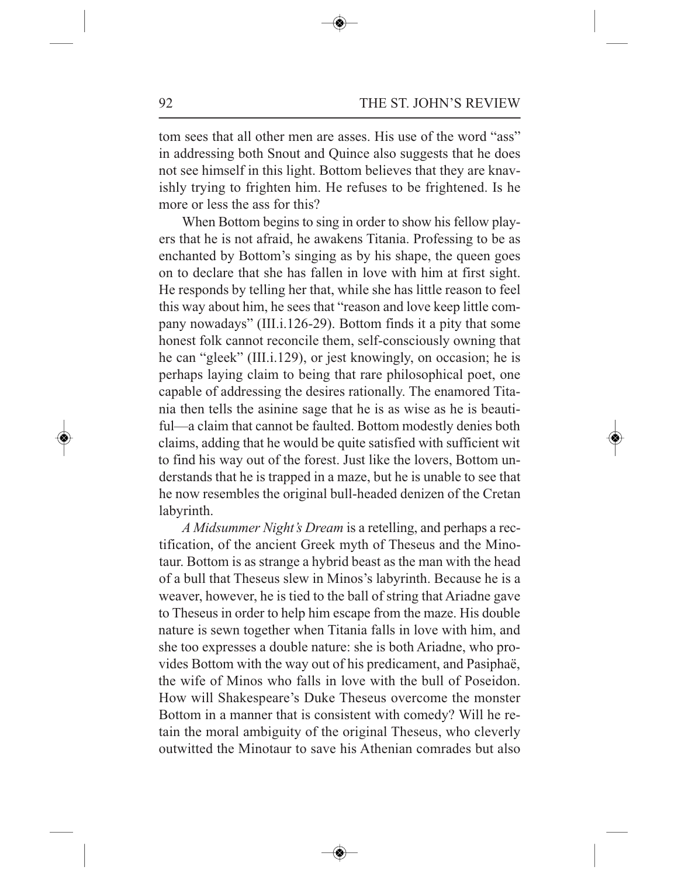tom sees that all other men are asses. His use of the word "ass" in addressing both Snout and Quince also suggests that he does not see himself in this light. Bottom believes that they are knavishly trying to frighten him. He refuses to be frightened. Is he more or less the ass for this?

When Bottom begins to sing in order to show his fellow players that he is not afraid, he awakens Titania. Professing to be as enchanted by Bottom's singing as by his shape, the queen goes on to declare that she has fallen in love with him at first sight. He responds by telling her that, while she has little reason to feel this way about him, he sees that "reason and love keep little company nowadays" (III.i.126-29). Bottom finds it a pity that some honest folk cannot reconcile them, self-consciously owning that he can "gleek" (III.i.129), or jest knowingly, on occasion; he is perhaps laying claim to being that rare philosophical poet, one capable of addressing the desires rationally. The enamored Titania then tells the asinine sage that he is as wise as he is beautiful—a claim that cannot be faulted. Bottom modestly denies both claims, adding that he would be quite satisfied with sufficient wit to find his way out of the forest. Just like the lovers, Bottom understands that he is trapped in a maze, but he is unable to see that he now resembles the original bull-headed denizen of the Cretan labyrinth.

*A Midsummer Night's Dream* is a retelling, and perhaps a rectification, of the ancient Greek myth of Theseus and the Minotaur. Bottom is as strange a hybrid beast as the man with the head of a bull that Theseus slew in Minos's labyrinth. Because he is a weaver, however, he is tied to the ball of string that Ariadne gave to Theseus in order to help him escape from the maze. His double nature is sewn together when Titania falls in love with him, and she too expresses a double nature: she is both Ariadne, who provides Bottom with the way out of his predicament, and Pasiphaë, the wife of Minos who falls in love with the bull of Poseidon. How will Shakespeare's Duke Theseus overcome the monster Bottom in a manner that is consistent with comedy? Will he retain the moral ambiguity of the original Theseus, who cleverly outwitted the Minotaur to save his Athenian comrades but also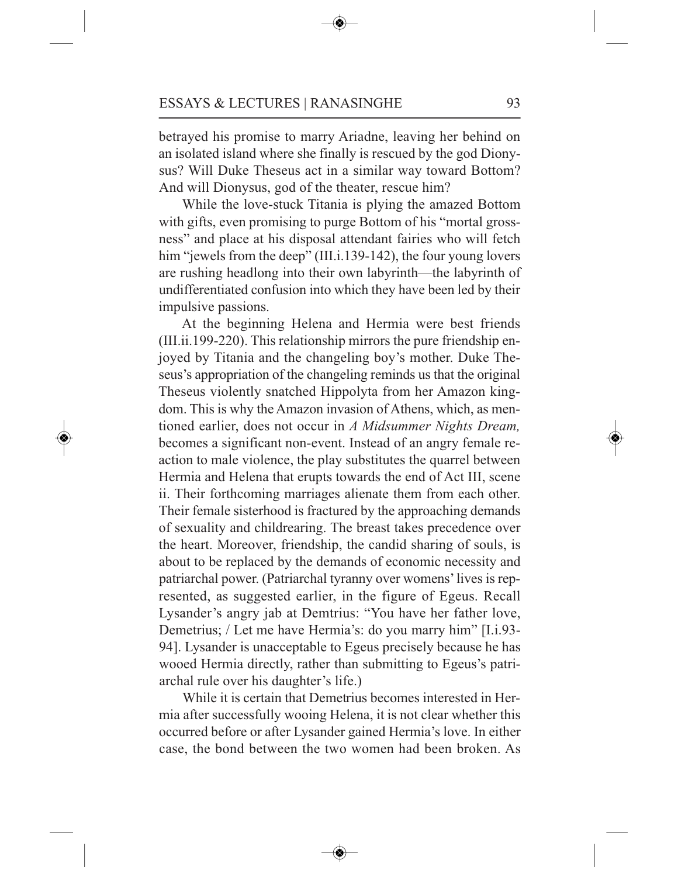betrayed his promise to marry Ariadne, leaving her behind on an isolated island where she finally is rescued by the god Dionysus? Will Duke Theseus act in a similar way toward Bottom? And will Dionysus, god of the theater, rescue him?

While the love-stuck Titania is plying the amazed Bottom with gifts, even promising to purge Bottom of his "mortal grossness" and place at his disposal attendant fairies who will fetch him "jewels from the deep" (III.i.139-142), the four young lovers are rushing headlong into their own labyrinth—the labyrinth of undifferentiated confusion into which they have been led by their impulsive passions.

At the beginning Helena and Hermia were best friends (III.ii.199-220). This relationship mirrors the pure friendship enjoyed by Titania and the changeling boy's mother. Duke Theseus's appropriation of the changeling reminds us that the original Theseus violently snatched Hippolyta from her Amazon kingdom. This is why the Amazon invasion of Athens, which, as mentioned earlier, does not occur in *A Midsummer Nights Dream,* becomes a significant non-event. Instead of an angry female reaction to male violence, the play substitutes the quarrel between Hermia and Helena that erupts towards the end of Act III, scene ii. Their forthcoming marriages alienate them from each other. Their female sisterhood is fractured by the approaching demands of sexuality and childrearing. The breast takes precedence over the heart. Moreover, friendship, the candid sharing of souls, is about to be replaced by the demands of economic necessity and patriarchal power. (Patriarchal tyranny over womens'lives is represented, as suggested earlier, in the figure of Egeus. Recall Lysander's angry jab at Demtrius: "You have her father love, Demetrius; / Let me have Hermia's: do you marry him" [I.i.93- 94]. Lysander is unacceptable to Egeus precisely because he has wooed Hermia directly, rather than submitting to Egeus's patriarchal rule over his daughter's life.)

While it is certain that Demetrius becomes interested in Hermia after successfully wooing Helena, it is not clear whether this occurred before or after Lysander gained Hermia's love. In either case, the bond between the two women had been broken. As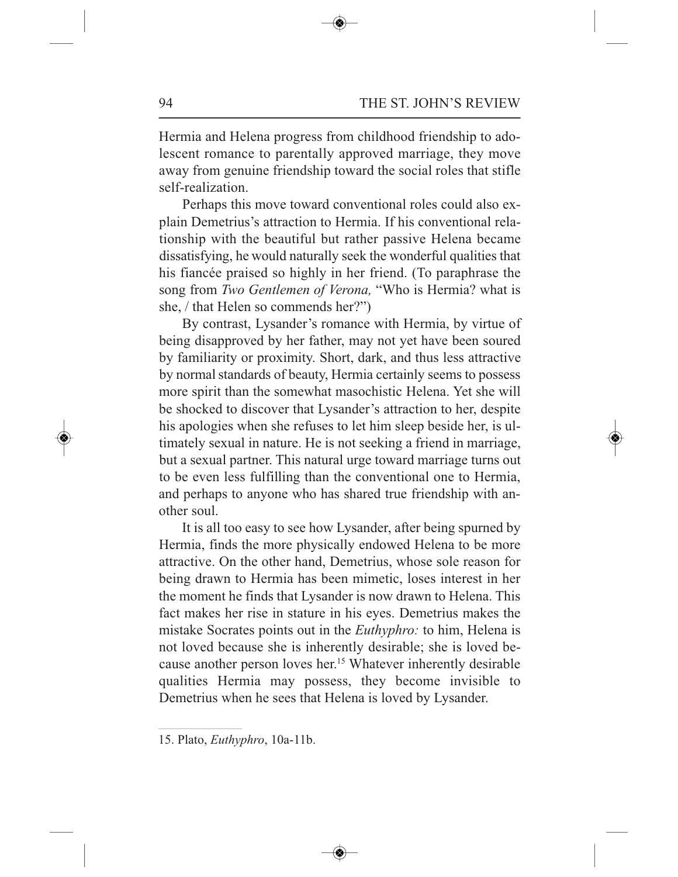Hermia and Helena progress from childhood friendship to adolescent romance to parentally approved marriage, they move away from genuine friendship toward the social roles that stifle self-realization.

Perhaps this move toward conventional roles could also explain Demetrius's attraction to Hermia. If his conventional relationship with the beautiful but rather passive Helena became dissatisfying, he would naturally seek the wonderful qualities that his fiancée praised so highly in her friend. (To paraphrase the song from *Two Gentlemen of Verona,* "Who is Hermia? what is she, / that Helen so commends her?")

By contrast, Lysander's romance with Hermia, by virtue of being disapproved by her father, may not yet have been soured by familiarity or proximity. Short, dark, and thus less attractive by normal standards of beauty, Hermia certainly seems to possess more spirit than the somewhat masochistic Helena. Yet she will be shocked to discover that Lysander's attraction to her, despite his apologies when she refuses to let him sleep beside her, is ultimately sexual in nature. He is not seeking a friend in marriage, but a sexual partner. This natural urge toward marriage turns out to be even less fulfilling than the conventional one to Hermia, and perhaps to anyone who has shared true friendship with another soul.

It is all too easy to see how Lysander, after being spurned by Hermia, finds the more physically endowed Helena to be more attractive. On the other hand, Demetrius, whose sole reason for being drawn to Hermia has been mimetic, loses interest in her the moment he finds that Lysander is now drawn to Helena. This fact makes her rise in stature in his eyes. Demetrius makes the mistake Socrates points out in the *Euthyphro:* to him, Helena is not loved because she is inherently desirable; she is loved because another person loves her. <sup>15</sup> Whatever inherently desirable qualities Hermia may possess, they become invisible to Demetrius when he sees that Helena is loved by Lysander.

<sup>15.</sup> Plato, *Euthyphro*, 10a-11b.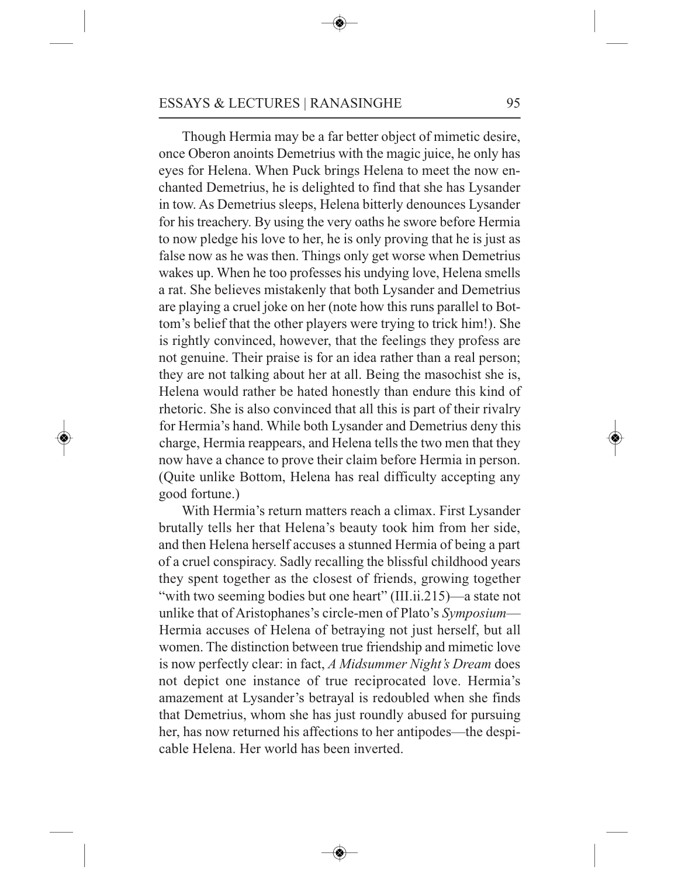Though Hermia may be a far better object of mimetic desire, once Oberon anoints Demetrius with the magic juice, he only has eyes for Helena. When Puck brings Helena to meet the now enchanted Demetrius, he is delighted to find that she has Lysander in tow. As Demetrius sleeps, Helena bitterly denounces Lysander for his treachery. By using the very oaths he swore before Hermia to now pledge his love to her, he is only proving that he is just as false now as he was then. Things only get worse when Demetrius wakes up. When he too professes his undying love, Helena smells a rat. She believes mistakenly that both Lysander and Demetrius are playing a cruel joke on her (note how this runs parallel to Bottom's belief that the other players were trying to trick him!). She is rightly convinced, however, that the feelings they profess are not genuine. Their praise is for an idea rather than a real person; they are not talking about her at all. Being the masochist she is, Helena would rather be hated honestly than endure this kind of rhetoric. She is also convinced that all this is part of their rivalry for Hermia's hand. While both Lysander and Demetrius deny this charge, Hermia reappears, and Helena tells the two men that they now have a chance to prove their claim before Hermia in person. (Quite unlike Bottom, Helena has real difficulty accepting any good fortune.)

With Hermia's return matters reach a climax. First Lysander brutally tells her that Helena's beauty took him from her side, and then Helena herself accuses a stunned Hermia of being a part of a cruel conspiracy. Sadly recalling the blissful childhood years they spent together as the closest of friends, growing together "with two seeming bodies but one heart" (III.ii.215)—a state not unlike that of Aristophanes's circle-men of Plato's *Symposium*— Hermia accuses of Helena of betraying not just herself, but all women. The distinction between true friendship and mimetic love is now perfectly clear: in fact, *A Midsummer Night's Dream* does not depict one instance of true reciprocated love. Hermia's amazement at Lysander's betrayal is redoubled when she finds that Demetrius, whom she has just roundly abused for pursuing her, has now returned his affections to her antipodes—the despicable Helena. Her world has been inverted.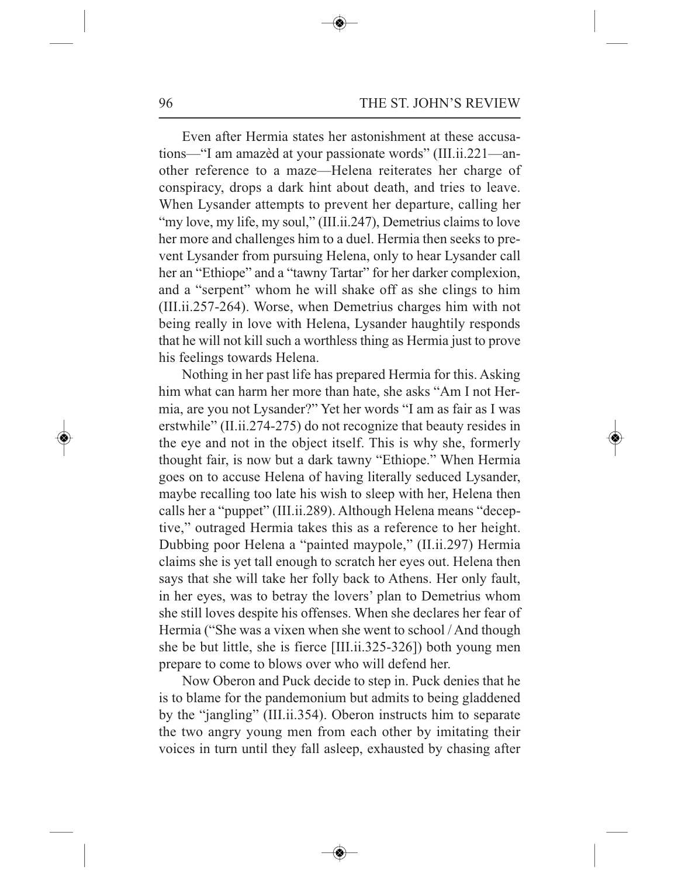Even after Hermia states her astonishment at these accusations—"I am amazèd at your passionate words" (III.ii.221—another reference to a maze—Helena reiterates her charge of conspiracy, drops a dark hint about death, and tries to leave. When Lysander attempts to prevent her departure, calling her "my love, my life, my soul," (III.ii.247), Demetrius claims to love her more and challenges him to a duel. Hermia then seeks to prevent Lysander from pursuing Helena, only to hear Lysander call her an "Ethiope" and a "tawny Tartar" for her darker complexion, and a "serpent" whom he will shake off as she clings to him (III.ii.257-264). Worse, when Demetrius charges him with not being really in love with Helena, Lysander haughtily responds that he will not kill such a worthless thing as Hermia just to prove his feelings towards Helena.

Nothing in her past life has prepared Hermia for this. Asking him what can harm her more than hate, she asks "Am I not Hermia, are you not Lysander?" Yet her words "I am as fair as I was erstwhile" (II.ii.274-275) do not recognize that beauty resides in the eye and not in the object itself. This is why she, formerly thought fair, is now but a dark tawny "Ethiope." When Hermia goes on to accuse Helena of having literally seduced Lysander, maybe recalling too late his wish to sleep with her, Helena then calls her a "puppet" (III.ii.289). Although Helena means "deceptive," outraged Hermia takes this as a reference to her height. Dubbing poor Helena a "painted maypole," (II.ii.297) Hermia claims she is yet tall enough to scratch her eyes out. Helena then says that she will take her folly back to Athens. Her only fault, in her eyes, was to betray the lovers' plan to Demetrius whom she still loves despite his offenses. When she declares her fear of Hermia ("She was a vixen when she went to school / And though she be but little, she is fierce [III.ii.325-326]) both young men prepare to come to blows over who will defend her.

Now Oberon and Puck decide to step in. Puck denies that he is to blame for the pandemonium but admits to being gladdened by the "jangling" (III.ii.354). Oberon instructs him to separate the two angry young men from each other by imitating their voices in turn until they fall asleep, exhausted by chasing after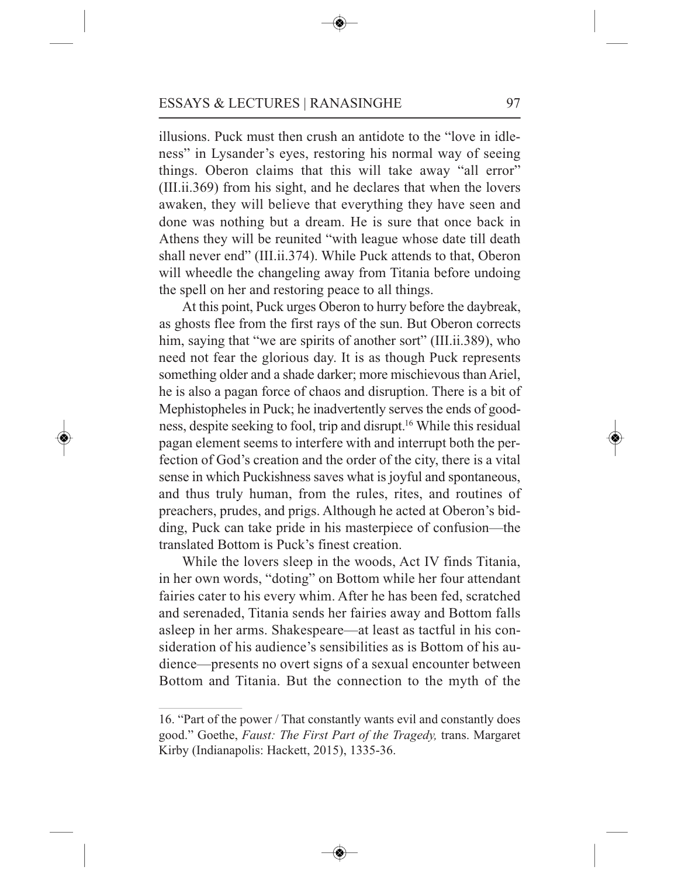illusions. Puck must then crush an antidote to the "love in idleness" in Lysander's eyes, restoring his normal way of seeing things. Oberon claims that this will take away "all error" (III.ii.369) from his sight, and he declares that when the lovers awaken, they will believe that everything they have seen and done was nothing but a dream. He is sure that once back in Athens they will be reunited "with league whose date till death shall never end" (III.ii.374). While Puck attends to that, Oberon will wheedle the changeling away from Titania before undoing the spell on her and restoring peace to all things.

At this point, Puck urges Oberon to hurry before the daybreak, as ghosts flee from the first rays of the sun. But Oberon corrects him, saying that "we are spirits of another sort" (III.ii.389), who need not fear the glorious day. It is as though Puck represents something older and a shade darker; more mischievous than Ariel, he is also a pagan force of chaos and disruption. There is a bit of Mephistopheles in Puck; he inadvertently serves the ends of goodness, despite seeking to fool, trip and disrupt. <sup>16</sup> While this residual pagan element seems to interfere with and interrupt both the perfection of God's creation and the order of the city, there is a vital sense in which Puckishness saves what is joyful and spontaneous, and thus truly human, from the rules, rites, and routines of preachers, prudes, and prigs. Although he acted at Oberon's bidding, Puck can take pride in his masterpiece of confusion—the translated Bottom is Puck's finest creation.

While the lovers sleep in the woods, Act IV finds Titania, in her own words, "doting" on Bottom while her four attendant fairies cater to his every whim. After he has been fed, scratched and serenaded, Titania sends her fairies away and Bottom falls asleep in her arms. Shakespeare—at least as tactful in his consideration of his audience's sensibilities as is Bottom of his audience—presents no overt signs of a sexual encounter between Bottom and Titania. But the connection to the myth of the

<sup>16.</sup> "Part of the power / That constantly wants evil and constantly does good." Goethe, *Faust: The First Part of the Tragedy,* trans. Margaret Kirby (Indianapolis: Hackett, 2015), 1335-36.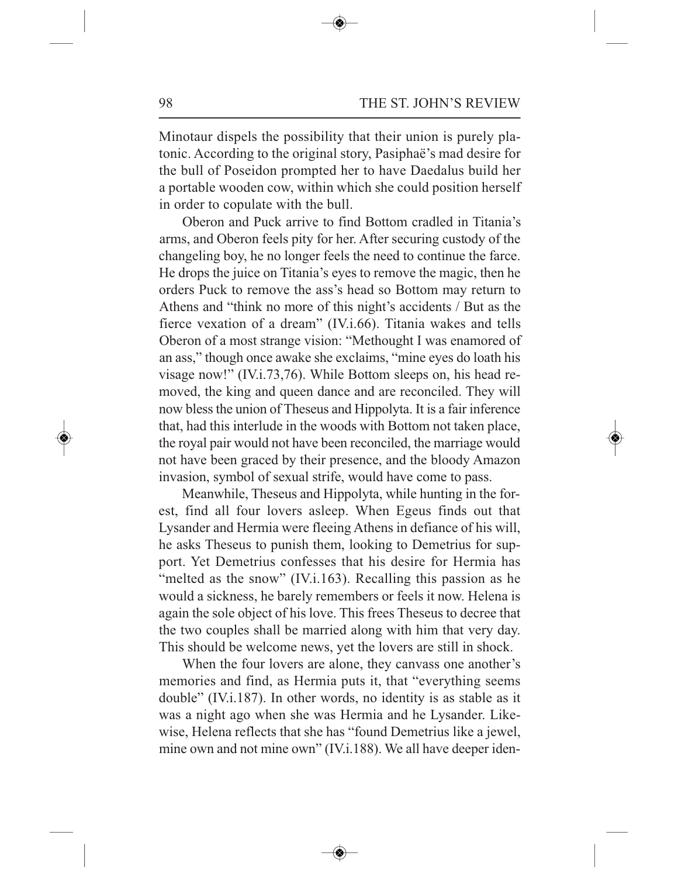Minotaur dispels the possibility that their union is purely platonic. According to the original story, Pasiphaë's mad desire for the bull of Poseidon prompted her to have Daedalus build her a portable wooden cow, within which she could position herself in order to copulate with the bull.

Oberon and Puck arrive to find Bottom cradled in Titania's arms, and Oberon feels pity for her. After securing custody of the changeling boy, he no longer feels the need to continue the farce. He drops the juice on Titania's eyes to remove the magic, then he orders Puck to remove the ass's head so Bottom may return to Athens and "think no more of this night's accidents / But as the fierce vexation of a dream" (IV.i.66). Titania wakes and tells Oberon of a most strange vision: "Methought I was enamored of an ass," though once awake she exclaims, "mine eyes do loath his visage now!" (IV.i.73,76). While Bottom sleeps on, his head removed, the king and queen dance and are reconciled. They will now bless the union of Theseus and Hippolyta. It is a fair inference that, had this interlude in the woods with Bottom not taken place, the royal pair would not have been reconciled, the marriage would not have been graced by their presence, and the bloody Amazon invasion, symbol of sexual strife, would have come to pass.

Meanwhile, Theseus and Hippolyta, while hunting in the forest, find all four lovers asleep. When Egeus finds out that Lysander and Hermia were fleeing Athens in defiance of his will, he asks Theseus to punish them, looking to Demetrius for support. Yet Demetrius confesses that his desire for Hermia has "melted as the snow" (IV.i.163). Recalling this passion as he would a sickness, he barely remembers or feels it now. Helena is again the sole object of his love. This frees Theseus to decree that the two couples shall be married along with him that very day. This should be welcome news, yet the lovers are still in shock.

When the four lovers are alone, they canvass one another's memories and find, as Hermia puts it, that "everything seems double" (IV.i.187). In other words, no identity is as stable as it was a night ago when she was Hermia and he Lysander. Likewise, Helena reflects that she has "found Demetrius like a jewel, mine own and not mine own" (IV.i.188). We all have deeper iden-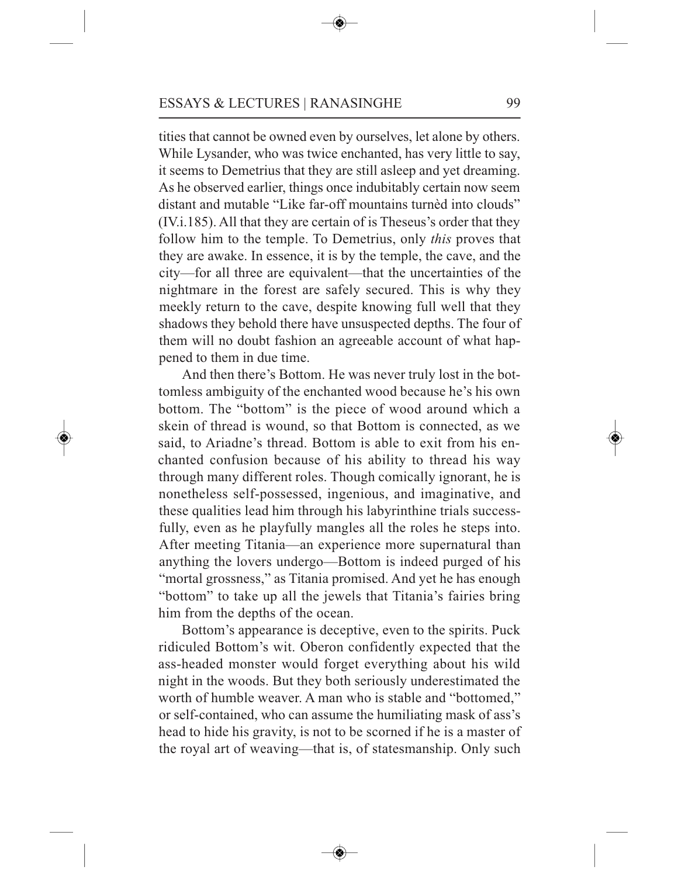tities that cannot be owned even by ourselves, let alone by others. While Lysander, who was twice enchanted, has very little to say, it seems to Demetrius that they are still asleep and yet dreaming. As he observed earlier, things once indubitably certain now seem distant and mutable "Like far-off mountains turnèd into clouds" (IV.i.185). All that they are certain of is Theseus's order that they follow him to the temple. To Demetrius, only *this* proves that they are awake. In essence, it is by the temple, the cave, and the city—for all three are equivalent—that the uncertainties of the nightmare in the forest are safely secured. This is why they meekly return to the cave, despite knowing full well that they shadows they behold there have unsuspected depths. The four of them will no doubt fashion an agreeable account of what happened to them in due time.

And then there's Bottom. He was never truly lost in the bottomless ambiguity of the enchanted wood because he's his own bottom. The "bottom" is the piece of wood around which a skein of thread is wound, so that Bottom is connected, as we said, to Ariadne's thread. Bottom is able to exit from his enchanted confusion because of his ability to thread his way through many different roles. Though comically ignorant, he is nonetheless self-possessed, ingenious, and imaginative, and these qualities lead him through his labyrinthine trials successfully, even as he playfully mangles all the roles he steps into. After meeting Titania—an experience more supernatural than anything the lovers undergo—Bottom is indeed purged of his "mortal grossness," as Titania promised. And yet he has enough "bottom" to take up all the jewels that Titania's fairies bring him from the depths of the ocean.

Bottom's appearance is deceptive, even to the spirits. Puck ridiculed Bottom's wit. Oberon confidently expected that the ass-headed monster would forget everything about his wild night in the woods. But they both seriously underestimated the worth of humble weaver. A man who is stable and "bottomed," or self-contained, who can assume the humiliating mask of ass's head to hide his gravity, is not to be scorned if he is a master of the royal art of weaving—that is, of statesmanship. Only such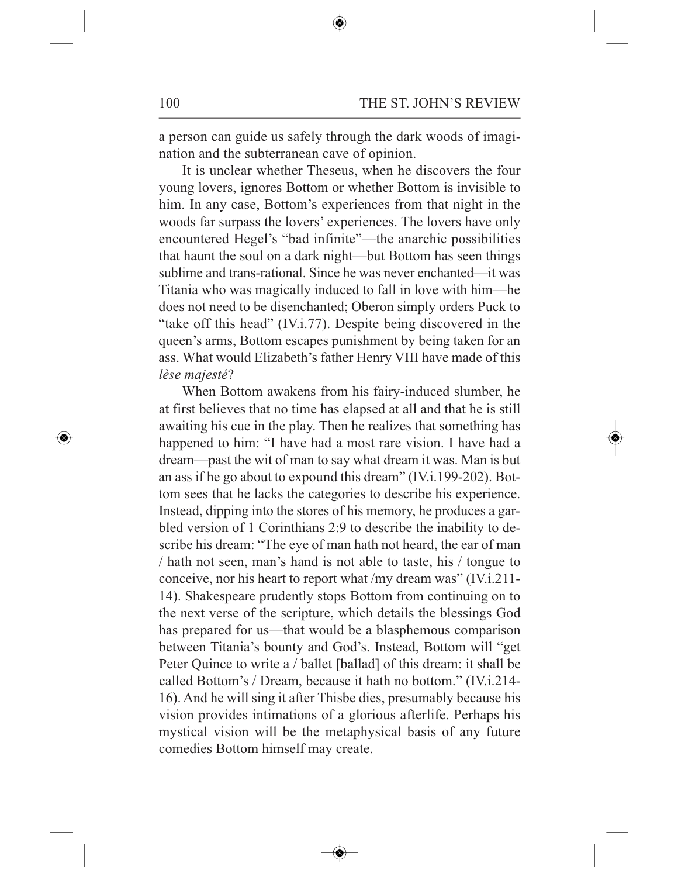a person can guide us safely through the dark woods of imagination and the subterranean cave of opinion.

It is unclear whether Theseus, when he discovers the four young lovers, ignores Bottom or whether Bottom is invisible to him. In any case, Bottom's experiences from that night in the woods far surpass the lovers' experiences. The lovers have only encountered Hegel's "bad infinite"—the anarchic possibilities that haunt the soul on a dark night—but Bottom has seen things sublime and trans-rational. Since he was never enchanted—it was Titania who was magically induced to fall in love with him—he does not need to be disenchanted; Oberon simply orders Puck to "take off this head" (IV.i.77). Despite being discovered in the queen's arms, Bottom escapes punishment by being taken for an ass. What would Elizabeth's father Henry VIII have made of this *lèse majesté*?

When Bottom awakens from his fairy-induced slumber, he at first believes that no time has elapsed at all and that he is still awaiting his cue in the play. Then he realizes that something has happened to him: "I have had a most rare vision. I have had a dream—past the wit of man to say what dream it was. Man is but an ass if he go about to expound this dream" (IV.i.199-202). Bottom sees that he lacks the categories to describe his experience. Instead, dipping into the stores of his memory, he produces a garbled version of 1 Corinthians 2:9 to describe the inability to describe his dream: "The eye of man hath not heard, the ear of man / hath not seen, man's hand is not able to taste, his / tongue to conceive, nor his heart to report what /my dream was" (IV.i.211- 14). Shakespeare prudently stops Bottom from continuing on to the next verse of the scripture, which details the blessings God has prepared for us—that would be a blasphemous comparison between Titania's bounty and God's. Instead, Bottom will "get Peter Quince to write a / ballet [ballad] of this dream: it shall be called Bottom's / Dream, because it hath no bottom." (IV.i.214- 16). And he will sing it after Thisbe dies, presumably because his vision provides intimations of a glorious afterlife. Perhaps his mystical vision will be the metaphysical basis of any future comedies Bottom himself may create.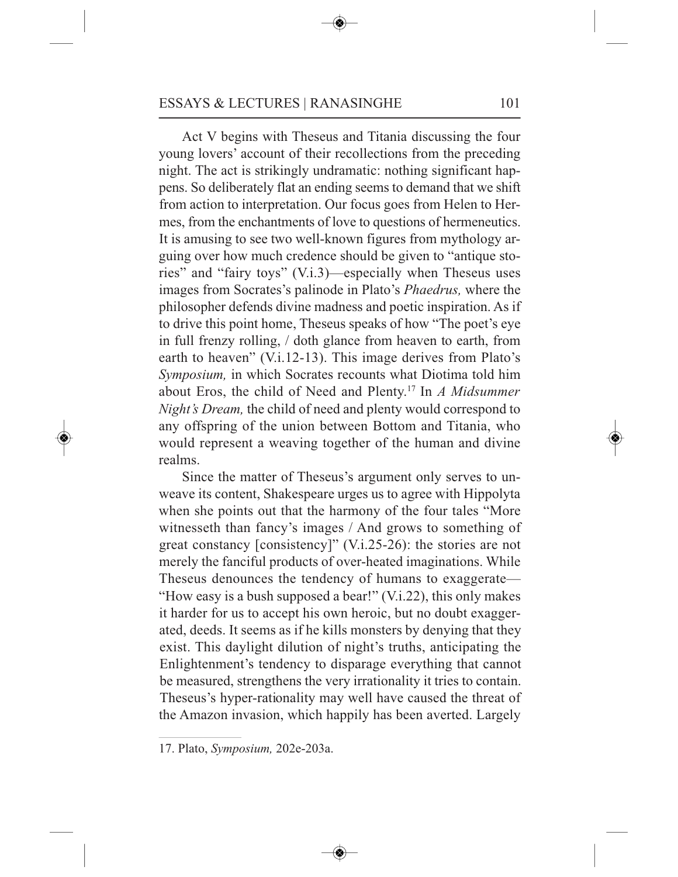Act V begins with Theseus and Titania discussing the four young lovers' account of their recollections from the preceding night. The act is strikingly undramatic: nothing significant happens. So deliberately flat an ending seems to demand that we shift from action to interpretation. Our focus goes from Helen to Hermes, from the enchantments of love to questions of hermeneutics. It is amusing to see two well-known figures from mythology arguing over how much credence should be given to "antique stories" and "fairy toys" (V.i.3)—especially when Theseus uses images from Socrates's palinode in Plato's *Phaedrus,* where the philosopher defends divine madness and poetic inspiration. As if to drive this point home, Theseus speaks of how "The poet's eye in full frenzy rolling, / doth glance from heaven to earth, from earth to heaven" (V.i.12-13). This image derives from Plato's *Symposium,* in which Socrates recounts what Diotima told him about Eros, the child of Need and Plenty. <sup>17</sup> In *A Midsummer Night's Dream,* the child of need and plenty would correspond to any offspring of the union between Bottom and Titania, who would represent a weaving together of the human and divine realms.

Since the matter of Theseus's argument only serves to unweave its content, Shakespeare urges us to agree with Hippolyta when she points out that the harmony of the four tales "More witnesseth than fancy's images / And grows to something of great constancy [consistency]" (V.i.25-26): the stories are not merely the fanciful products of over-heated imaginations. While Theseus denounces the tendency of humans to exaggerate— "How easy is a bush supposed a bear!" (V.i.22), this only makes it harder for us to accept his own heroic, but no doubt exaggerated, deeds. It seems as if he kills monsters by denying that they exist. This daylight dilution of night's truths, anticipating the Enlightenment's tendency to disparage everything that cannot be measured, strengthens the very irrationality it tries to contain. Theseus's hyper-rationality may well have caused the threat of the Amazon invasion, which happily has been averted. Largely

<sup>17.</sup> Plato, *Symposium,* 202e-203a.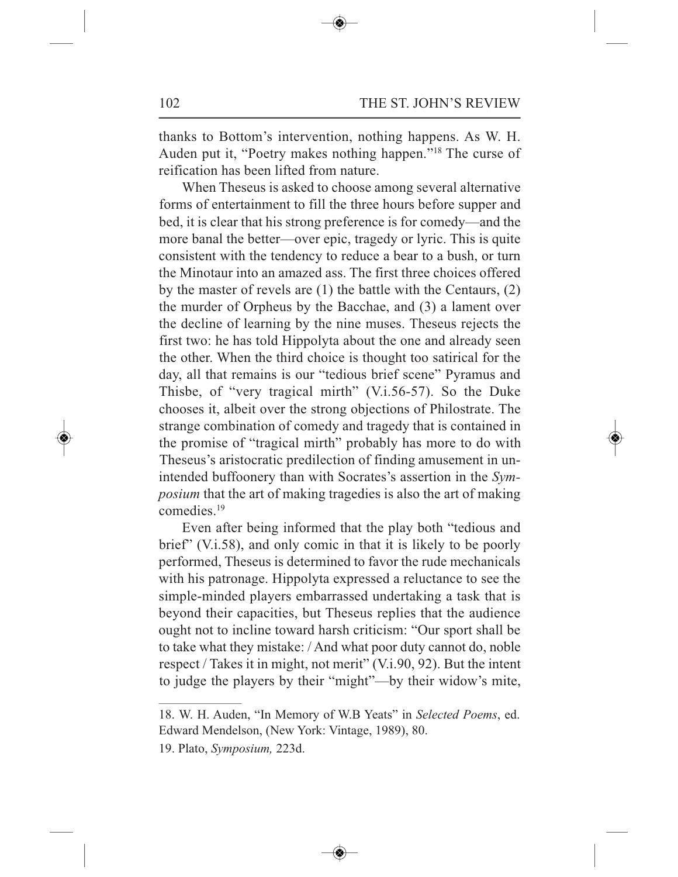thanks to Bottom's intervention, nothing happens. As W. H. Auden put it, "Poetry makes nothing happen."18 The curse of reification has been lifted from nature.

When Theseus is asked to choose among several alternative forms of entertainment to fill the three hours before supper and bed, it is clear that his strong preference is for comedy—and the more banal the better—over epic, tragedy or lyric. This is quite consistent with the tendency to reduce a bear to a bush, or turn the Minotaur into an amazed ass. The first three choices offered by the master of revels are (1) the battle with the Centaurs, (2) the murder of Orpheus by the Bacchae, and (3) a lament over the decline of learning by the nine muses. Theseus rejects the first two: he has told Hippolyta about the one and already seen the other. When the third choice is thought too satirical for the day, all that remains is our "tedious brief scene" Pyramus and Thisbe, of "very tragical mirth" (V.i.56-57). So the Duke chooses it, albeit over the strong objections of Philostrate. The strange combination of comedy and tragedy that is contained in the promise of "tragical mirth" probably has more to do with Theseus's aristocratic predilection of finding amusement in unintended buffoonery than with Socrates's assertion in the *Symposium* that the art of making tragedies is also the art of making comedies. 19

Even after being informed that the play both "tedious and brief" (V.i.58), and only comic in that it is likely to be poorly performed, Theseus is determined to favor the rude mechanicals with his patronage. Hippolyta expressed a reluctance to see the simple-minded players embarrassed undertaking a task that is beyond their capacities, but Theseus replies that the audience ought not to incline toward harsh criticism: "Our sport shall be to take what they mistake: / And what poor duty cannot do, noble respect / Takes it in might, not merit" (V.i.90, 92). But the intent to judge the players by their "might"—by their widow's mite,

<sup>18.</sup> W. H. Auden, "In Memory of W.B Yeats" in *Selected Poems*, ed. Edward Mendelson, (New York: Vintage, 1989), 80.

<sup>19.</sup> Plato, *Symposium,* 223d.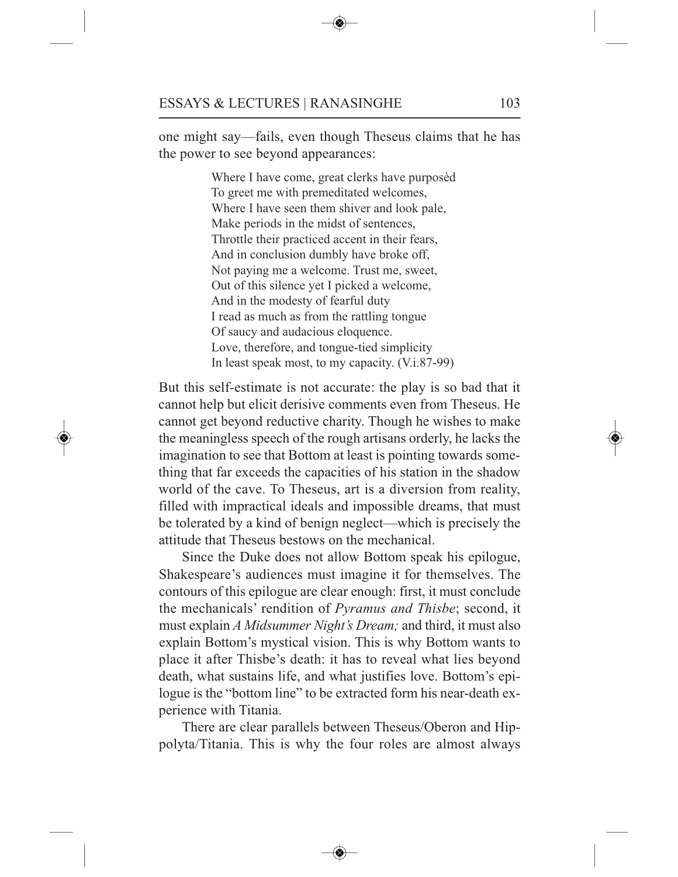one might say—fails, even though Theseus claims that he has the power to see beyond appearances:

> Where I have come, great clerks have purposèd To greet me with premeditated welcomes, Where I have seen them shiver and look pale, Make periods in the midst of sentences, Throttle their practiced accent in their fears, And in conclusion dumbly have broke off, Not paying me a welcome. Trust me, sweet, Out of this silence yet I picked a welcome, And in the modesty of fearful duty I read as much as from the rattling tongue Of saucy and audacious eloquence. Love, therefore, and tongue-tied simplicity In least speak most, to my capacity. (V.i.87-99)

But this self-estimate is not accurate: the play is so bad that it cannot help but elicit derisive comments even from Theseus. He cannot get beyond reductive charity. Though he wishes to make the meaningless speech of the rough artisans orderly, he lacks the imagination to see that Bottom at least is pointing towards something that far exceeds the capacities of his station in the shadow world of the cave. To Theseus, art is a diversion from reality, filled with impractical ideals and impossible dreams, that must be tolerated by a kind of benign neglect—which is precisely the attitude that Theseus bestows on the mechanical.

Since the Duke does not allow Bottom speak his epilogue, Shakespeare's audiences must imagine it for themselves. The contours of this epilogue are clear enough: first, it must conclude the mechanicals' rendition of *Pyramus and Thisbe*; second, it must explain *A Midsummer Night's Dream;* and third, it must also explain Bottom's mystical vision. This is why Bottom wants to place it after Thisbe's death: it has to reveal what lies beyond death, what sustains life, and what justifies love. Bottom's epilogue is the "bottom line" to be extracted form his near-death experience with Titania.

There are clear parallels between Theseus/Oberon and Hippolyta/Titania. This is why the four roles are almost always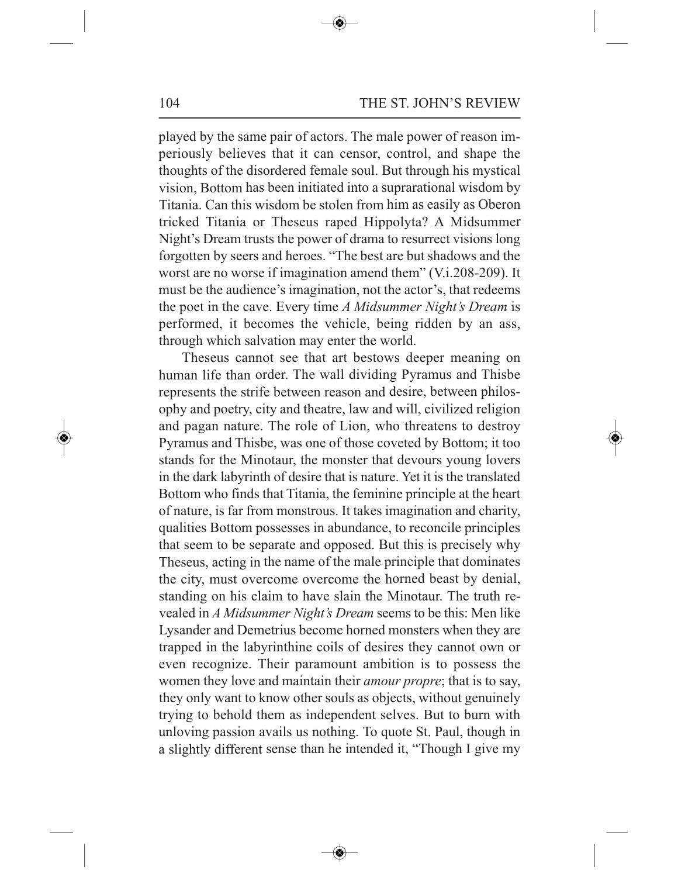played by the same pair of actors. The male power of reason imperiously believes that it can censor, control, and shape the thoughts of the disordered female soul. But through his mystical vision, Bottom has been initiated into <sup>a</sup> suprarational wisdom by Titania. Can this wisdom be stolen from him as easily as Oberon tricked Titania or Theseus raped Hippolyta? A Midsummer Night's Dream trusts the power of drama to resurrect visions long forgotten by seers and heroes. "The best are but shadows and the worst are no worse if imagination amend them" (V.i.208-209). It must be the audience's imagination, not the actor's, that redeems the poe<sup>t</sup> in the cave. Every time *A Midsummer Night's Dream* is performed, it becomes the vehicle, being ridden by an ass, through which salvation may enter the world.

Theseus cannot see that art bestows deeper meaning on human life than order. The wall dividing Pyramus and Thisbe represents the strife between reason and desire, between philosophy and poetry, city and theatre, law and will, civilized religion and pagan nature. The role of Lion, who threatens to destroy Pyramus and Thisbe, was one of those coveted by Bottom; it too stands for the Minotaur, the monster that devours young lovers in the dark labyrinth of desire that is nature. Yet it is the translated Bottom who finds that Titania, the feminine principle at the heart of nature, is far from monstrous. It takes imagination and charity, qualities Bottom possesses in abundance, to reconcile principles that seem to be separate and opposed. But this is precisely why Theseus, acting in the name of the male principle that dominates the city, must overcome overcome the horned beast by denial, standing on his claim to have slain the Minotaur. The truth revealed in *A Midsummer Night's Dream* seems to be this: Men like Lysander and Demetrius become horned monsters when they are trapped in the labyrinthine coils of desires they cannot own or even recognize. Their paramoun<sup>t</sup> ambition is to possess the women they love and maintain their *amour propre*; that is to say, they only want to know other souls as objects, without genuinely trying to behold them as independent selves. But to burn with unloving passion avails us nothing. To quote St. Paul, though in <sup>a</sup> slightly different sense than he intended it, "Though I give my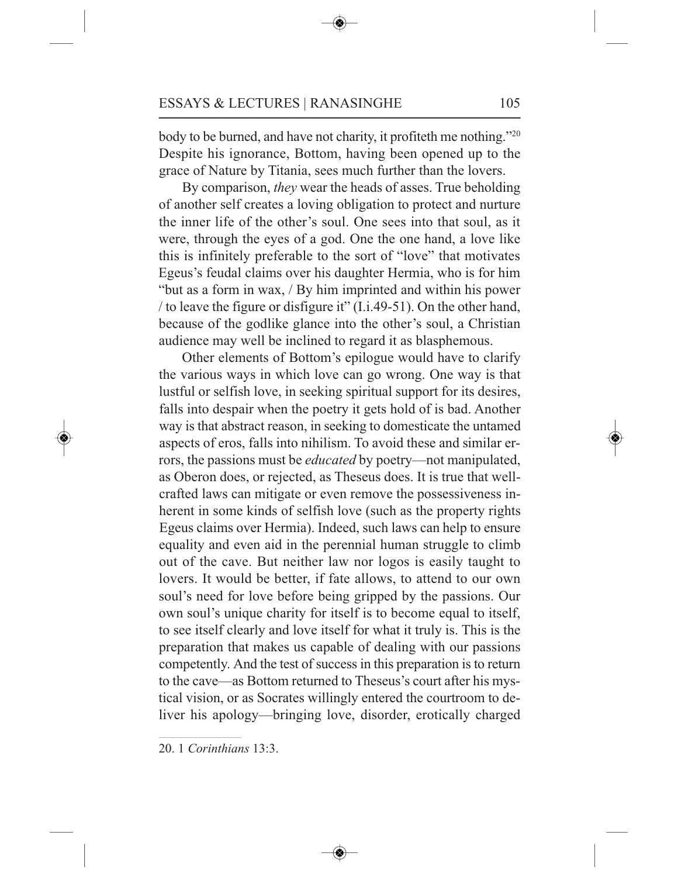body to be burned, and have not charity, it profiteth me nothing."20 Despite his ignorance, Bottom, having been opened up to the grace of Nature by Titania, sees much further than the lovers.

By comparison, *they* wear the heads of asses. True beholding of another self creates a loving obligation to protect and nurture the inner life of the other's soul. One sees into that soul, as it were, through the eyes of a god. One the one hand, a love like this is infinitely preferable to the sort of "love" that motivates Egeus's feudal claims over his daughter Hermia, who is for him "but as a form in wax, / By him imprinted and within his power / to leave the figure or disfigure it" (I.i.49-51). On the other hand, because of the godlike glance into the other's soul, a Christian audience may well be inclined to regard it as blasphemous.

Other elements of Bottom's epilogue would have to clarify the various ways in which love can go wrong. One way is that lustful or selfish love, in seeking spiritual support for its desires, falls into despair when the poetry it gets hold of is bad. Another way is that abstract reason, in seeking to domesticate the untamed aspects of eros, falls into nihilism. To avoid these and similar errors, the passions must be *educated* by poetry—not manipulated, as Oberon does, or rejected, as Theseus does. It is true that wellcrafted laws can mitigate or even remove the possessiveness inherent in some kinds of selfish love (such as the property rights Egeus claims over Hermia). Indeed, such laws can help to ensure equality and even aid in the perennial human struggle to climb out of the cave. But neither law nor logos is easily taught to lovers. It would be better, if fate allows, to attend to our own soul's need for love before being gripped by the passions. Our own soul's unique charity for itself is to become equal to itself, to see itself clearly and love itself for what it truly is. This is the preparation that makes us capable of dealing with our passions competently. And the test of success in this preparation is to return to the cave—as Bottom returned to Theseus's court after his mystical vision, or as Socrates willingly entered the courtroom to deliver his apology—bringing love, disorder, erotically charged

20. 1 *Corinthians* 13:3.